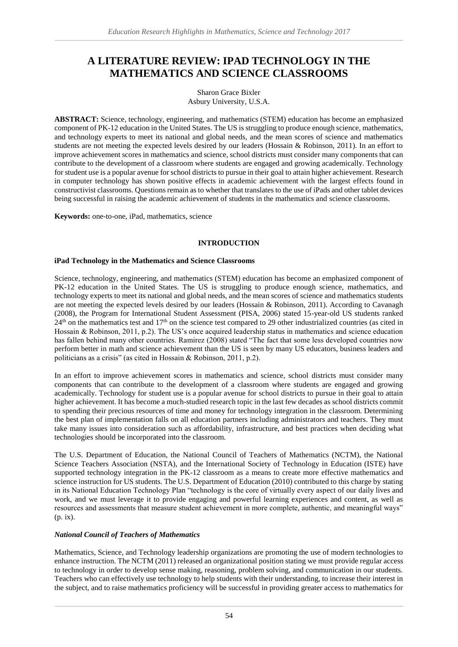# **A LITERATURE REVIEW: IPAD TECHNOLOGY IN THE MATHEMATICS AND SCIENCE CLASSROOMS**

Sharon Grace Bixler Asbury University, U.S.A.

**ABSTRACT:** Science, technology, engineering, and mathematics (STEM) education has become an emphasized component of PK-12 education in the United States. The US is struggling to produce enough science, mathematics, and technology experts to meet its national and global needs, and the mean scores of science and mathematics students are not meeting the expected levels desired by our leaders (Hossain & Robinson, 2011). In an effort to improve achievement scores in mathematics and science, school districts must consider many components that can contribute to the development of a classroom where students are engaged and growing academically. Technology for student use is a popular avenue for school districts to pursue in their goal to attain higher achievement. Research in computer technology has shown positive effects in academic achievement with the largest effects found in constructivist classrooms. Questions remain as to whether that translates to the use of iPads and other tablet devices being successful in raising the academic achievement of students in the mathematics and science classrooms.

**Keywords:** one-to-one, iPad, mathematics, science

# **INTRODUCTION**

## **iPad Technology in the Mathematics and Science Classrooms**

Science, technology, engineering, and mathematics (STEM) education has become an emphasized component of PK-12 education in the United States. The US is struggling to produce enough science, mathematics, and technology experts to meet its national and global needs, and the mean scores of science and mathematics students are not meeting the expected levels desired by our leaders (Hossain & Robinson, 2011). According to Cavanagh (2008), the Program for International Student Assessment (PISA, 2006) stated 15-year-old US students ranked  $24<sup>th</sup>$  on the mathematics test and  $17<sup>th</sup>$  on the science test compared to 29 other industrialized countries (as cited in Hossain & Robinson, 2011, p.2). The US's once acquired leadership status in mathematics and science education has fallen behind many other countries. Ramirez (2008) stated "The fact that some less developed countries now perform better in math and science achievement than the US is seen by many US educators, business leaders and politicians as a crisis" (as cited in Hossain & Robinson, 2011, p.2).

In an effort to improve achievement scores in mathematics and science, school districts must consider many components that can contribute to the development of a classroom where students are engaged and growing academically. Technology for student use is a popular avenue for school districts to pursue in their goal to attain higher achievement. It has become a much-studied research topic in the last few decades as school districts commit to spending their precious resources of time and money for technology integration in the classroom. Determining the best plan of implementation falls on all education partners including administrators and teachers. They must take many issues into consideration such as affordability, infrastructure, and best practices when deciding what technologies should be incorporated into the classroom.

The U.S. Department of Education, the National Council of Teachers of Mathematics (NCTM), the National Science Teachers Association (NSTA), and the International Society of Technology in Education (ISTE) have supported technology integration in the PK-12 classroom as a means to create more effective mathematics and science instruction for US students. The U.S. Department of Education (2010) contributed to this charge by stating in its National Education Technology Plan "technology is the core of virtually every aspect of our daily lives and work, and we must leverage it to provide engaging and powerful learning experiences and content, as well as resources and assessments that measure student achievement in more complete, authentic, and meaningful ways" (p. ix).

# *National Council of Teachers of Mathematics*

Mathematics, Science, and Technology leadership organizations are promoting the use of modern technologies to enhance instruction. The NCTM (2011) released an organizational position stating we must provide regular access to technology in order to develop sense making, reasoning, problem solving, and communication in our students. Teachers who can effectively use technology to help students with their understanding, to increase their interest in the subject, and to raise mathematics proficiency will be successful in providing greater access to mathematics for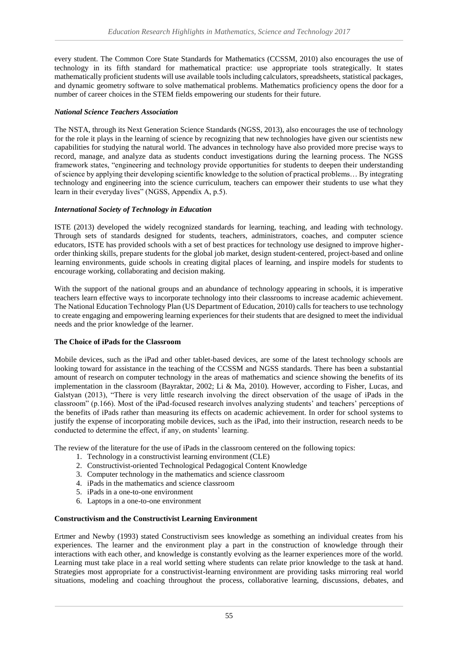every student. The Common Core State Standards for Mathematics (CCSSM, 2010) also encourages the use of technology in its fifth standard for mathematical practice: use appropriate tools strategically. It states mathematically proficient students will use available tools including calculators, spreadsheets, statistical packages, and dynamic geometry software to solve mathematical problems. Mathematics proficiency opens the door for a number of career choices in the STEM fields empowering our students for their future.

#### *National Science Teachers Association*

The NSTA, through its Next Generation Science Standards (NGSS, 2013), also encourages the use of technology for the role it plays in the learning of science by recognizing that new technologies have given our scientists new capabilities for studying the natural world. The advances in technology have also provided more precise ways to record, manage, and analyze data as students conduct investigations during the learning process. The NGSS framework states, "engineering and technology provide opportunities for students to deepen their understanding of science by applying their developing scientific knowledge to the solution of practical problems… By integrating technology and engineering into the science curriculum, teachers can empower their students to use what they learn in their everyday lives" (NGSS, Appendix A, p.5).

## *International Society of Technology in Education*

ISTE (2013) developed the widely recognized standards for learning, teaching, and leading with technology. Through sets of standards designed for students, teachers, administrators, coaches, and computer science educators, ISTE has provided schools with a set of best practices for technology use designed to improve higherorder thinking skills, prepare students for the global job market, design student-centered, project-based and online learning environments, guide schools in creating digital places of learning, and inspire models for students to encourage working, collaborating and decision making.

With the support of the national groups and an abundance of technology appearing in schools, it is imperative teachers learn effective ways to incorporate technology into their classrooms to increase academic achievement. The National Education Technology Plan (US Department of Education, 2010) calls for teachers to use technology to create engaging and empowering learning experiences for their students that are designed to meet the individual needs and the prior knowledge of the learner.

#### **The Choice of iPads for the Classroom**

Mobile devices, such as the iPad and other tablet-based devices, are some of the latest technology schools are looking toward for assistance in the teaching of the CCSSM and NGSS standards. There has been a substantial amount of research on computer technology in the areas of mathematics and science showing the benefits of its implementation in the classroom (Bayraktar, 2002; Li & Ma, 2010). However, according to Fisher, Lucas, and Galstyan (2013), "There is very little research involving the direct observation of the usage of iPads in the classroom" (p.166). Most of the iPad-focused research involves analyzing students' and teachers' perceptions of the benefits of iPads rather than measuring its effects on academic achievement. In order for school systems to justify the expense of incorporating mobile devices, such as the iPad, into their instruction, research needs to be conducted to determine the effect, if any, on students' learning.

The review of the literature for the use of iPads in the classroom centered on the following topics:

- 1. Technology in a constructivist learning environment (CLE)
- 2. Constructivist-oriented Technological Pedagogical Content Knowledge
- 3. Computer technology in the mathematics and science classroom
- 4. iPads in the mathematics and science classroom
- 5. iPads in a one-to-one environment
- 6. Laptops in a one-to-one environment

#### **Constructivism and the Constructivist Learning Environment**

Ertmer and Newby (1993) stated Constructivism sees knowledge as something an individual creates from his experiences. The learner and the environment play a part in the construction of knowledge through their interactions with each other, and knowledge is constantly evolving as the learner experiences more of the world. Learning must take place in a real world setting where students can relate prior knowledge to the task at hand. Strategies most appropriate for a constructivist-learning environment are providing tasks mirroring real world situations, modeling and coaching throughout the process, collaborative learning, discussions, debates, and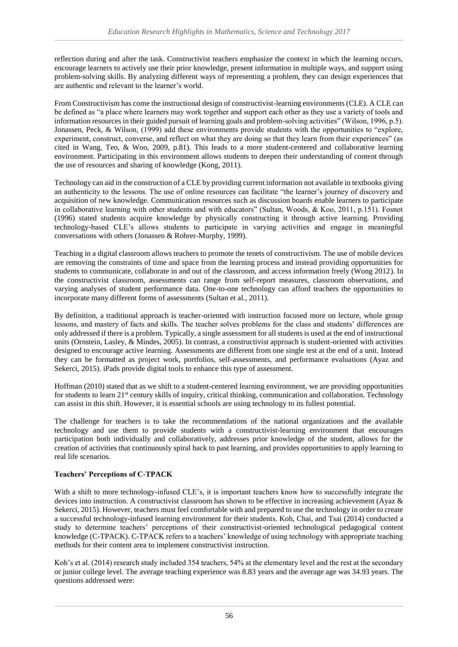reflection during and after the task. Constructivist teachers emphasize the context in which the learning occurs, encourage learners to actively use their prior knowledge, present information in multiple ways, and support using problem-solving skills. By analyzing different ways of representing a problem, they can design experiences that are authentic and relevant to the learner's world.

From Constructivism has come the instructional design of constructivist-learning environments (CLE). A CLE can be defined as "a place where learners may work together and support each other as they use a variety of tools and information resources in their guided pursuit of learning goals and problem-solving activities" (Wilson, 1996, p.5). Jonassen, Peck, & Wilson, (1999) add these environments provide students with the opportunities to "explore, experiment, construct, converse, and reflect on what they are doing so that they learn from their experiences" (as cited in Wang, Teo, & Woo, 2009, p.81). This leads to a more student-centered and collaborative learning environment. Participating in this environment allows students to deepen their understanding of content through the use of resources and sharing of knowledge (Kong, 2011).

Technology can aid in the construction of a CLE by providing current information not available in textbooks giving an authenticity to the lessons. The use of online resources can facilitate "the learner's journey of discovery and acquisition of new knowledge. Communication resources such as discussion boards enable learners to participate in collaborative learning with other students and with educators" (Sultan, Woods, & Koo, 2011, p.151). Fosnot (1996) stated students acquire knowledge by physically constructing it through active learning. Providing technology-based CLE's allows students to participate in varying activities and engage in meaningful conversations with others (Jonassen & Rohrer-Murphy, 1999).

Teaching in a digital classroom allows teachers to promote the tenets of constructivism. The use of mobile devices are removing the constraints of time and space from the learning process and instead providing opportunities for students to communicate, collaborate in and out of the classroom, and access information freely (Wong 2012). In the constructivist classroom, assessments can range from self-report measures, classroom observations, and varying analyses of student performance data. One-to-one technology can afford teachers the opportunities to incorporate many different forms of assessments (Sultan et al., 2011).

By definition, a traditional approach is teacher-oriented with instruction focused more on lecture, whole group lessons, and mastery of facts and skills. The teacher solves problems for the class and students' differences are only addressed if there is a problem. Typically, a single assessment for all students is used at the end of instructional units (Ornstein, Lasley, & Mindes, 2005). In contrast, a constructivist approach is student-oriented with activities designed to encourage active learning. Assessments are different from one single test at the end of a unit. Instead they can be formatted as project work, portfolios, self-assessments, and performance evaluations (Ayaz and Sekerci, 2015). iPads provide digital tools to enhance this type of assessment.

Hoffman (2010) stated that as we shift to a student-centered learning environment, we are providing opportunities for students to learn 21<sup>st</sup> century skills of inquiry, critical thinking, communication and collaboration. Technology can assist in this shift. However, it is essential schools are using technology to its fullest potential.

The challenge for teachers is to take the recommendations of the national organizations and the available technology and use them to provide students with a constructivist-learning environment that encourages participation both individually and collaboratively, addresses prior knowledge of the student, allows for the creation of activities that continuously spiral back to past learning, and provides opportunities to apply learning to real life scenarios.

# **Teachers' Perceptions of C-TPACK**

With a shift to more technology-infused CLE's, it is important teachers know how to successfully integrate the devices into instruction. A constructivist classroom has shown to be effective in increasing achievement (Ayaz & Sekerci, 2015). However, teachers must feel comfortable with and prepared to use the technology in order to create a successful technology-infused learning environment for their students. Koh, Chai, and Tsai (2014) conducted a study to determine teachers' perceptions of their constructivist-oriented technological pedagogical content knowledge (C-TPACK). C-TPACK refers to a teachers' knowledge of using technology with appropriate teaching methods for their content area to implement constructivist instruction.

Koh's et al. (2014) research study included 354 teachers, 54% at the elementary level and the rest at the secondary or junior college level. The average teaching experience was 8.83 years and the average age was 34.93 years. The questions addressed were: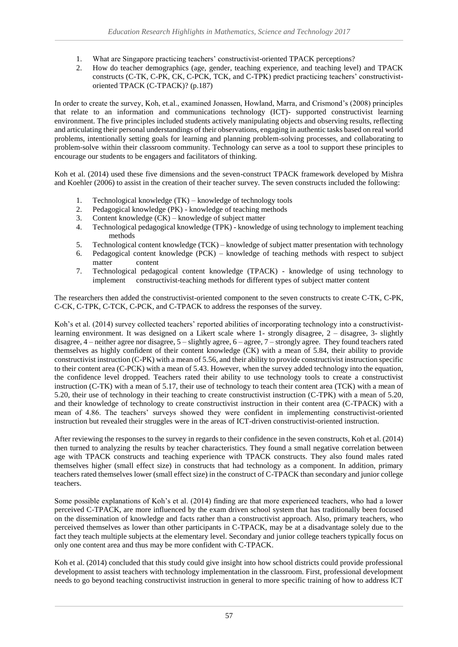- 1. What are Singapore practicing teachers' constructivist-oriented TPACK perceptions?
- 2. How do teacher demographics (age, gender, teaching experience, and teaching level) and TPACK constructs (C-TK, C-PK, CK, C-PCK, TCK, and C-TPK) predict practicing teachers' constructivistoriented TPACK (C-TPACK)? (p.187)

In order to create the survey, Koh, et.al., examined Jonassen, Howland, Marra, and Crismond's (2008) principles that relate to an information and communications technology (ICT)- supported constructivist learning environment. The five principles included students actively manipulating objects and observing results, reflecting and articulating their personal understandings of their observations, engaging in authentic tasks based on real world problems, intentionally setting goals for learning and planning problem-solving processes, and collaborating to problem-solve within their classroom community. Technology can serve as a tool to support these principles to encourage our students to be engagers and facilitators of thinking.

Koh et al. (2014) used these five dimensions and the seven-construct TPACK framework developed by Mishra and Koehler (2006) to assist in the creation of their teacher survey. The seven constructs included the following:

- 1. Technological knowledge (TK) knowledge of technology tools
- 2. Pedagogical knowledge (PK) knowledge of teaching methods
- 3. Content knowledge (CK) knowledge of subject matter
- 4. Technological pedagogical knowledge (TPK) knowledge of using technology to implement teaching methods
- 5. Technological content knowledge (TCK) knowledge of subject matter presentation with technology
- 6. Pedagogical content knowledge  $(PCK)$  knowledge of teaching methods with respect to subject matter content
- 7. Technological pedagogical content knowledge (TPACK) knowledge of using technology to implement constructivist-teaching methods for different types of subject matter content

The researchers then added the constructivist-oriented component to the seven constructs to create C-TK, C-PK, C-CK*,* C-TPK, C-TCK, C-PCK, and C-TPACK to address the responses of the survey.

Koh's et al. (2014) survey collected teachers' reported abilities of incorporating technology into a constructivistlearning environment. It was designed on a Likert scale where 1- strongly disagree, 2 – disagree, 3- slightly disagree, 4 – neither agree nor disagree, 5 – slightly agree, 6 – agree, 7 – strongly agree. They found teachers rated themselves as highly confident of their content knowledge (CK) with a mean of 5.84, their ability to provide constructivist instruction (C-PK) with a mean of 5.56, and their ability to provide constructivist instruction specific to their content area (C-PCK) with a mean of 5.43. However, when the survey added technology into the equation, the confidence level dropped. Teachers rated their ability to use technology tools to create a constructivist instruction (C-TK) with a mean of 5.17, their use of technology to teach their content area (TCK) with a mean of 5.20, their use of technology in their teaching to create constructivist instruction (C-TPK) with a mean of 5.20, and their knowledge of technology to create constructivist instruction in their content area (C-TPACK) with a mean of 4.86. The teachers' surveys showed they were confident in implementing constructivist-oriented instruction but revealed their struggles were in the areas of ICT-driven constructivist-oriented instruction.

After reviewing the responses to the survey in regards to their confidence in the seven constructs, Koh et al. (2014) then turned to analyzing the results by teacher characteristics. They found a small negative correlation between age with TPACK constructs and teaching experience with TPACK constructs. They also found males rated themselves higher (small effect size) in constructs that had technology as a component. In addition, primary teachers rated themselves lower (small effect size) in the construct of C-TPACK than secondary and junior college teachers.

Some possible explanations of Koh's et al. (2014) finding are that more experienced teachers, who had a lower perceived C-TPACK, are more influenced by the exam driven school system that has traditionally been focused on the dissemination of knowledge and facts rather than a constructivist approach. Also, primary teachers, who perceived themselves as lower than other participants in C-TPACK, may be at a disadvantage solely due to the fact they teach multiple subjects at the elementary level. Secondary and junior college teachers typically focus on only one content area and thus may be more confident with C-TPACK.

Koh et al. (2014) concluded that this study could give insight into how school districts could provide professional development to assist teachers with technology implementation in the classroom. First, professional development needs to go beyond teaching constructivist instruction in general to more specific training of how to address ICT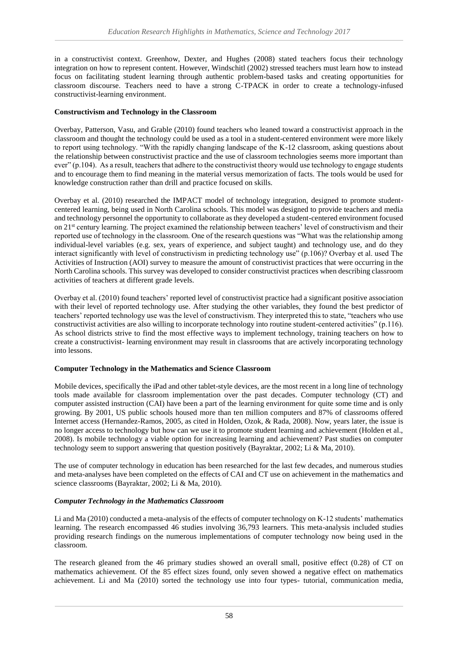in a constructivist context. Greenhow, Dexter, and Hughes (2008) stated teachers focus their technology integration on how to represent content. However, Windschitl (2002) stressed teachers must learn how to instead focus on facilitating student learning through authentic problem-based tasks and creating opportunities for classroom discourse. Teachers need to have a strong C-TPACK in order to create a technology-infused constructivist-learning environment.

#### **Constructivism and Technology in the Classroom**

Overbay, Patterson, Vasu, and Grable (2010) found teachers who leaned toward a constructivist approach in the classroom and thought the technology could be used as a tool in a student-centered environment were more likely to report using technology. "With the rapidly changing landscape of the K-12 classroom, asking questions about the relationship between constructivist practice and the use of classroom technologies seems more important than ever" (p.104). As a result, teachers that adhere to the constructivist theory would use technology to engage students and to encourage them to find meaning in the material versus memorization of facts. The tools would be used for knowledge construction rather than drill and practice focused on skills.

Overbay et al. (2010) researched the IMPACT model of technology integration, designed to promote studentcentered learning, being used in North Carolina schools. This model was designed to provide teachers and media and technology personnel the opportunity to collaborate as they developed a student-centered environment focused on 21<sup>st</sup> century learning. The project examined the relationship between teachers' level of constructivism and their reported use of technology in the classroom. One of the research questions was "What was the relationship among individual-level variables (e.g. sex, years of experience, and subject taught) and technology use, and do they interact significantly with level of constructivism in predicting technology use" (p.106)? Overbay et al. used The Activities of Instruction (AOI) survey to measure the amount of constructivist practices that were occurring in the North Carolina schools. This survey was developed to consider constructivist practices when describing classroom activities of teachers at different grade levels.

Overbay et al. (2010) found teachers' reported level of constructivist practice had a significant positive association with their level of reported technology use. After studying the other variables, they found the best predictor of teachers' reported technology use was the level of constructivism. They interpreted this to state, "teachers who use constructivist activities are also willing to incorporate technology into routine student-centered activities" (p.116). As school districts strive to find the most effective ways to implement technology, training teachers on how to create a constructivist- learning environment may result in classrooms that are actively incorporating technology into lessons.

# **Computer Technology in the Mathematics and Science Classroom**

Mobile devices, specifically the iPad and other tablet-style devices, are the most recent in a long line of technology tools made available for classroom implementation over the past decades. Computer technology (CT) and computer assisted instruction (CAI) have been a part of the learning environment for quite some time and is only growing. By 2001, US public schools housed more than ten million computers and 87% of classrooms offered Internet access (Hernandez-Ramos, 2005, as cited in Holden, Ozok, & Rada, 2008). Now, years later, the issue is no longer access to technology but how can we use it to promote student learning and achievement (Holden et al., 2008). Is mobile technology a viable option for increasing learning and achievement? Past studies on computer technology seem to support answering that question positively (Bayraktar, 2002; Li & Ma, 2010).

The use of computer technology in education has been researched for the last few decades, and numerous studies and meta-analyses have been completed on the effects of CAI and CT use on achievement in the mathematics and science classrooms (Bayraktar, 2002; Li & Ma, 2010).

# *Computer Technology in the Mathematics Classroom*

Li and Ma (2010) conducted a meta-analysis of the effects of computer technology on K-12 students' mathematics learning. The research encompassed 46 studies involving 36,793 learners. This meta-analysis included studies providing research findings on the numerous implementations of computer technology now being used in the classroom.

The research gleaned from the 46 primary studies showed an overall small, positive effect (0.28) of CT on mathematics achievement. Of the 85 effect sizes found, only seven showed a negative effect on mathematics achievement. Li and Ma (2010) sorted the technology use into four types- tutorial, communication media,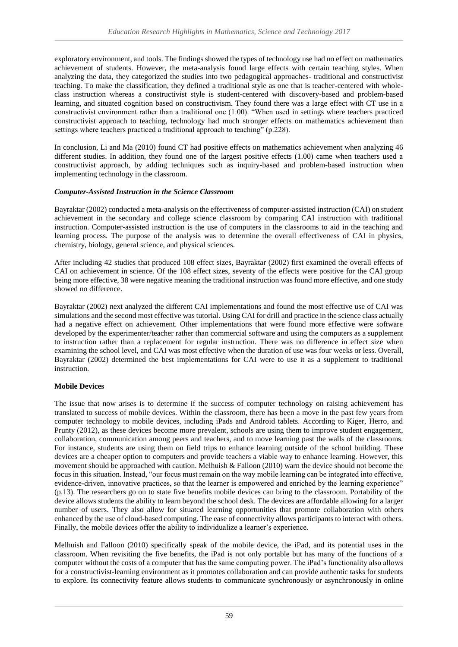exploratory environment, and tools. The findings showed the types of technology use had no effect on mathematics achievement of students. However, the meta-analysis found large effects with certain teaching styles. When analyzing the data, they categorized the studies into two pedagogical approaches- traditional and constructivist teaching. To make the classification, they defined a traditional style as one that is teacher-centered with wholeclass instruction whereas a constructivist style is student-centered with discovery-based and problem-based learning, and situated cognition based on constructivism. They found there was a large effect with CT use in a constructivist environment rather than a traditional one (1.00). "When used in settings where teachers practiced constructivist approach to teaching, technology had much stronger effects on mathematics achievement than settings where teachers practiced a traditional approach to teaching" (p.228).

In conclusion, Li and Ma (2010) found CT had positive effects on mathematics achievement when analyzing 46 different studies. In addition, they found one of the largest positive effects (1.00) came when teachers used a constructivist approach, by adding techniques such as inquiry-based and problem-based instruction when implementing technology in the classroom.

# *Computer-Assisted Instruction in the Science Classroom*

Bayraktar (2002) conducted a meta-analysis on the effectiveness of computer-assisted instruction (CAI) on student achievement in the secondary and college science classroom by comparing CAI instruction with traditional instruction. Computer-assisted instruction is the use of computers in the classrooms to aid in the teaching and learning process. The purpose of the analysis was to determine the overall effectiveness of CAI in physics, chemistry, biology, general science, and physical sciences.

After including 42 studies that produced 108 effect sizes, Bayraktar (2002) first examined the overall effects of CAI on achievement in science. Of the 108 effect sizes, seventy of the effects were positive for the CAI group being more effective, 38 were negative meaning the traditional instruction was found more effective, and one study showed no difference.

Bayraktar (2002) next analyzed the different CAI implementations and found the most effective use of CAI was simulations and the second most effective was tutorial. Using CAI for drill and practice in the science class actually had a negative effect on achievement. Other implementations that were found more effective were software developed by the experimenter/teacher rather than commercial software and using the computers as a supplement to instruction rather than a replacement for regular instruction. There was no difference in effect size when examining the school level, and CAI was most effective when the duration of use was four weeks or less. Overall, Bayraktar (2002) determined the best implementations for CAI were to use it as a supplement to traditional instruction.

# **Mobile Devices**

The issue that now arises is to determine if the success of computer technology on raising achievement has translated to success of mobile devices. Within the classroom, there has been a move in the past few years from computer technology to mobile devices, including iPads and Android tablets. According to Kiger, Herro, and Prunty (2012), as these devices become more prevalent, schools are using them to improve student engagement, collaboration, communication among peers and teachers, and to move learning past the walls of the classrooms. For instance, students are using them on field trips to enhance learning outside of the school building. These devices are a cheaper option to computers and provide teachers a viable way to enhance learning. However, this movement should be approached with caution. Melhuish & Falloon (2010) warn the device should not become the focus in this situation. Instead, "our focus must remain on the way mobile learning can be integrated into effective, evidence-driven, innovative practices, so that the learner is empowered and enriched by the learning experience" (p.13). The researchers go on to state five benefits mobile devices can bring to the classroom. Portability of the device allows students the ability to learn beyond the school desk. The devices are affordable allowing for a larger number of users. They also allow for situated learning opportunities that promote collaboration with others enhanced by the use of cloud-based computing. The ease of connectivity allows participants to interact with others. Finally, the mobile devices offer the ability to individualize a learner's experience.

Melhuish and Falloon (2010) specifically speak of the mobile device, the iPad, and its potential uses in the classroom. When revisiting the five benefits, the iPad is not only portable but has many of the functions of a computer without the costs of a computer that has the same computing power. The iPad's functionality also allows for a constructivist-learning environment as it promotes collaboration and can provide authentic tasks for students to explore. Its connectivity feature allows students to communicate synchronously or asynchronously in online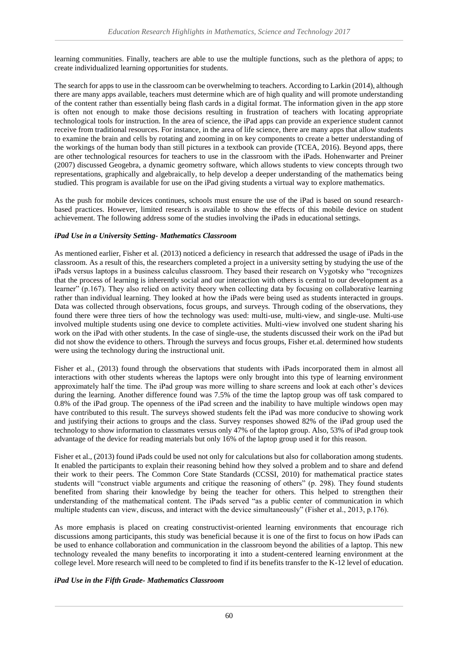learning communities. Finally, teachers are able to use the multiple functions, such as the plethora of apps; to create individualized learning opportunities for students.

The search for apps to use in the classroom can be overwhelming to teachers. According to Larkin (2014), although there are many apps available, teachers must determine which are of high quality and will promote understanding of the content rather than essentially being flash cards in a digital format. The information given in the app store is often not enough to make those decisions resulting in frustration of teachers with locating appropriate technological tools for instruction. In the area of science, the iPad apps can provide an experience student cannot receive from traditional resources. For instance, in the area of life science, there are many apps that allow students to examine the brain and cells by rotating and zooming in on key components to create a better understanding of the workings of the human body than still pictures in a textbook can provide (TCEA, 2016). Beyond apps, there are other technological resources for teachers to use in the classroom with the iPads. Hohenwarter and Preiner (2007) discussed Geogebra, a dynamic geometry software, which allows students to view concepts through two representations, graphically and algebraically, to help develop a deeper understanding of the mathematics being studied. This program is available for use on the iPad giving students a virtual way to explore mathematics.

As the push for mobile devices continues, schools must ensure the use of the iPad is based on sound researchbased practices. However, limited research is available to show the effects of this mobile device on student achievement. The following address some of the studies involving the iPads in educational settings.

## *iPad Use in a University Setting- Mathematics Classroom*

As mentioned earlier, Fisher et al. (2013) noticed a deficiency in research that addressed the usage of iPads in the classroom. As a result of this, the researchers completed a project in a university setting by studying the use of the iPads versus laptops in a business calculus classroom. They based their research on Vygotsky who "recognizes that the process of learning is inherently social and our interaction with others is central to our development as a learner" (p.167). They also relied on activity theory when collecting data by focusing on collaborative learning rather than individual learning. They looked at how the iPads were being used as students interacted in groups. Data was collected through observations, focus groups, and surveys. Through coding of the observations, they found there were three tiers of how the technology was used: multi-use, multi-view, and single-use. Multi-use involved multiple students using one device to complete activities. Multi-view involved one student sharing his work on the iPad with other students. In the case of single-use, the students discussed their work on the iPad but did not show the evidence to others. Through the surveys and focus groups, Fisher et.al. determined how students were using the technology during the instructional unit.

Fisher et al., (2013) found through the observations that students with iPads incorporated them in almost all interactions with other students whereas the laptops were only brought into this type of learning environment approximately half the time. The iPad group was more willing to share screens and look at each other's devices during the learning. Another difference found was 7.5% of the time the laptop group was off task compared to 0.8% of the iPad group. The openness of the iPad screen and the inability to have multiple windows open may have contributed to this result. The surveys showed students felt the iPad was more conducive to showing work and justifying their actions to groups and the class. Survey responses showed 82% of the iPad group used the technology to show information to classmates versus only 47% of the laptop group. Also, 53% of iPad group took advantage of the device for reading materials but only 16% of the laptop group used it for this reason.

Fisher et al., (2013) found iPads could be used not only for calculations but also for collaboration among students. It enabled the participants to explain their reasoning behind how they solved a problem and to share and defend their work to their peers. The Common Core State Standards (CCSSI, 2010) for mathematical practice states students will "construct viable arguments and critique the reasoning of others" (p. 298). They found students benefited from sharing their knowledge by being the teacher for others. This helped to strengthen their understanding of the mathematical content. The iPads served "as a public center of communication in which multiple students can view, discuss, and interact with the device simultaneously" (Fisher et al., 2013, p.176).

As more emphasis is placed on creating constructivist-oriented learning environments that encourage rich discussions among participants, this study was beneficial because it is one of the first to focus on how iPads can be used to enhance collaboration and communication in the classroom beyond the abilities of a laptop. This new technology revealed the many benefits to incorporating it into a student-centered learning environment at the college level. More research will need to be completed to find if its benefits transfer to the K-12 level of education.

# *iPad Use in the Fifth Grade- Mathematics Classroom*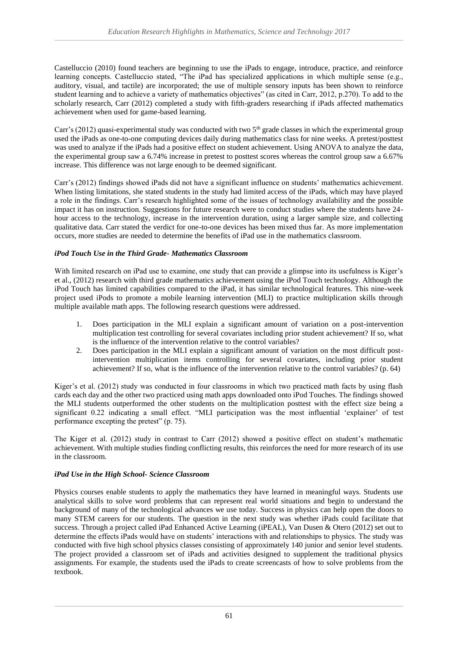Castelluccio (2010) found teachers are beginning to use the iPads to engage, introduce, practice, and reinforce learning concepts. Castelluccio stated, "The iPad has specialized applications in which multiple sense (e.g., auditory, visual, and tactile) are incorporated; the use of multiple sensory inputs has been shown to reinforce student learning and to achieve a variety of mathematics objectives" (as cited in Carr, 2012, p.270). To add to the scholarly research, Carr (2012) completed a study with fifth-graders researching if iPads affected mathematics achievement when used for game-based learning.

Carr's (2012) quasi-experimental study was conducted with two 5<sup>th</sup> grade classes in which the experimental group used the iPads as one-to-one computing devices daily during mathematics class for nine weeks. A pretest/posttest was used to analyze if the iPads had a positive effect on student achievement. Using ANOVA to analyze the data, the experimental group saw a 6.74% increase in pretest to posttest scores whereas the control group saw a 6.67% increase. This difference was not large enough to be deemed significant.

Carr's (2012) findings showed iPads did not have a significant influence on students' mathematics achievement. When listing limitations, she stated students in the study had limited access of the iPads, which may have played a role in the findings. Carr's research highlighted some of the issues of technology availability and the possible impact it has on instruction. Suggestions for future research were to conduct studies where the students have 24 hour access to the technology, increase in the intervention duration, using a larger sample size, and collecting qualitative data. Carr stated the verdict for one-to-one devices has been mixed thus far. As more implementation occurs, more studies are needed to determine the benefits of iPad use in the mathematics classroom.

# *iPod Touch Use in the Third Grade- Mathematics Classroom*

With limited research on iPad use to examine, one study that can provide a glimpse into its usefulness is Kiger's et al., (2012) research with third grade mathematics achievement using the iPod Touch technology. Although the iPod Touch has limited capabilities compared to the iPad, it has similar technological features. This nine-week project used iPods to promote a mobile learning intervention (MLI) to practice multiplication skills through multiple available math apps. The following research questions were addressed.

- 1. Does participation in the MLI explain a significant amount of variation on a post-intervention multiplication test controlling for several covariates including prior student achievement? If so, what is the influence of the intervention relative to the control variables?
- 2. Does participation in the MLI explain a significant amount of variation on the most difficult postintervention multiplication items controlling for several covariates, including prior student achievement? If so, what is the influence of the intervention relative to the control variables? (p. 64)

Kiger's et al. (2012) study was conducted in four classrooms in which two practiced math facts by using flash cards each day and the other two practiced using math apps downloaded onto iPod Touches. The findings showed the MLI students outperformed the other students on the multiplication posttest with the effect size being a significant 0.22 indicating a small effect. "MLI participation was the most influential 'explainer' of test performance excepting the pretest" (p. 75).

The Kiger et al. (2012) study in contrast to Carr (2012) showed a positive effect on student's mathematic achievement. With multiple studies finding conflicting results, this reinforces the need for more research of its use in the classroom.

# *iPad Use in the High School- Science Classroom*

Physics courses enable students to apply the mathematics they have learned in meaningful ways. Students use analytical skills to solve word problems that can represent real world situations and begin to understand the background of many of the technological advances we use today. Success in physics can help open the doors to many STEM careers for our students. The question in the next study was whether iPads could facilitate that success. Through a project called iPad Enhanced Active Learning (iPEAL), Van Dusen & Otero (2012) set out to determine the effects iPads would have on students' interactions with and relationships to physics. The study was conducted with five high school physics classes consisting of approximately 140 junior and senior level students. The project provided a classroom set of iPads and activities designed to supplement the traditional physics assignments. For example, the students used the iPads to create screencasts of how to solve problems from the textbook.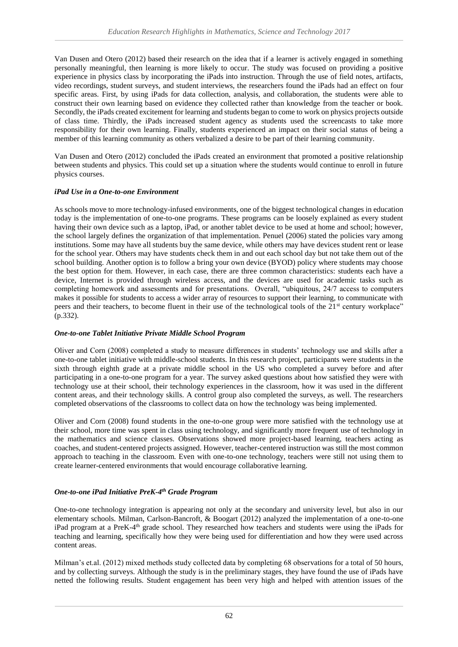Van Dusen and Otero (2012) based their research on the idea that if a learner is actively engaged in something personally meaningful, then learning is more likely to occur. The study was focused on providing a positive experience in physics class by incorporating the iPads into instruction. Through the use of field notes, artifacts, video recordings, student surveys, and student interviews, the researchers found the iPads had an effect on four specific areas. First, by using iPads for data collection, analysis, and collaboration, the students were able to construct their own learning based on evidence they collected rather than knowledge from the teacher or book. Secondly, the iPads created excitement for learning and students began to come to work on physics projects outside of class time. Thirdly, the iPads increased student agency as students used the screencasts to take more responsibility for their own learning. Finally, students experienced an impact on their social status of being a member of this learning community as others verbalized a desire to be part of their learning community.

Van Dusen and Otero (2012) concluded the iPads created an environment that promoted a positive relationship between students and physics. This could set up a situation where the students would continue to enroll in future physics courses.

## *iPad Use in a One-to-one Environment*

As schools move to more technology-infused environments, one of the biggest technological changes in education today is the implementation of one-to-one programs. These programs can be loosely explained as every student having their own device such as a laptop, iPad, or another tablet device to be used at home and school; however, the school largely defines the organization of that implementation. Penuel (2006) stated the policies vary among institutions. Some may have all students buy the same device, while others may have devices student rent or lease for the school year. Others may have students check them in and out each school day but not take them out of the school building. Another option is to follow a bring your own device (BYOD) policy where students may choose the best option for them. However, in each case, there are three common characteristics: students each have a device, Internet is provided through wireless access, and the devices are used for academic tasks such as completing homework and assessments and for presentations. Overall, "ubiquitous, 24/7 access to computers makes it possible for students to access a wider array of resources to support their learning, to communicate with peers and their teachers, to become fluent in their use of the technological tools of the 21<sup>st</sup> century workplace" (p.332).

#### *One-to-one Tablet Initiative Private Middle School Program*

Oliver and Corn (2008) completed a study to measure differences in students' technology use and skills after a one-to-one tablet initiative with middle-school students. In this research project, participants were students in the sixth through eighth grade at a private middle school in the US who completed a survey before and after participating in a one-to-one program for a year. The survey asked questions about how satisfied they were with technology use at their school, their technology experiences in the classroom, how it was used in the different content areas, and their technology skills. A control group also completed the surveys, as well. The researchers completed observations of the classrooms to collect data on how the technology was being implemented.

Oliver and Corn (2008) found students in the one-to-one group were more satisfied with the technology use at their school, more time was spent in class using technology, and significantly more frequent use of technology in the mathematics and science classes. Observations showed more project-based learning, teachers acting as coaches, and student-centered projects assigned. However, teacher-centered instruction was still the most common approach to teaching in the classroom. Even with one-to-one technology, teachers were still not using them to create learner-centered environments that would encourage collaborative learning.

# *One-to-one iPad Initiative PreK-4 th Grade Program*

One-to-one technology integration is appearing not only at the secondary and university level, but also in our elementary schools. Milman, Carlson-Bancroft, & Boogart (2012) analyzed the implementation of a one-to-one iPad program at a PreK-4<sup>th</sup> grade school. They researched how teachers and students were using the iPads for teaching and learning, specifically how they were being used for differentiation and how they were used across content areas.

Milman's et.al. (2012) mixed methods study collected data by completing 68 observations for a total of 50 hours, and by collecting surveys. Although the study is in the preliminary stages, they have found the use of iPads have netted the following results. Student engagement has been very high and helped with attention issues of the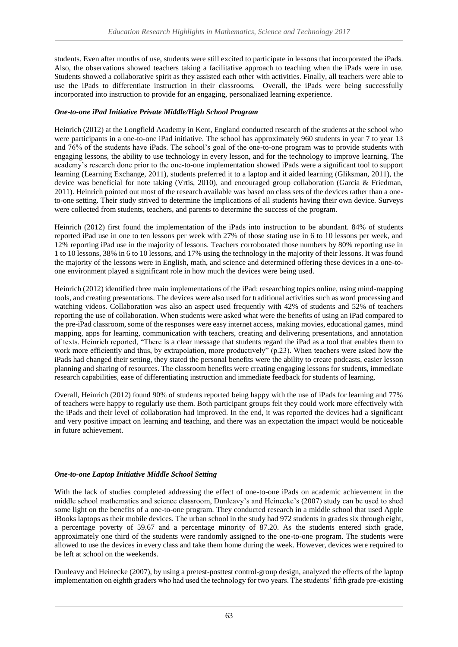students. Even after months of use, students were still excited to participate in lessons that incorporated the iPads. Also, the observations showed teachers taking a facilitative approach to teaching when the iPads were in use. Students showed a collaborative spirit as they assisted each other with activities. Finally, all teachers were able to use the iPads to differentiate instruction in their classrooms. Overall, the iPads were being successfully incorporated into instruction to provide for an engaging, personalized learning experience.

#### *One-to-one iPad Initiative Private Middle/High School Program*

Heinrich (2012) at the Longfield Academy in Kent, England conducted research of the students at the school who were participants in a one-to-one iPad initiative. The school has approximately 960 students in year 7 to year 13 and 76% of the students have iPads. The school's goal of the one-to-one program was to provide students with engaging lessons, the ability to use technology in every lesson, and for the technology to improve learning. The academy's research done prior to the one-to-one implementation showed iPads were a significant tool to support learning (Learning Exchange, 2011), students preferred it to a laptop and it aided learning (Gliksman, 2011), the device was beneficial for note taking (Vrtis, 2010), and encouraged group collaboration (Garcia & Friedman, 2011). Heinrich pointed out most of the research available was based on class sets of the devices rather than a oneto-one setting. Their study strived to determine the implications of all students having their own device. Surveys were collected from students, teachers, and parents to determine the success of the program.

Heinrich (2012) first found the implementation of the iPads into instruction to be abundant. 84% of students reported iPad use in one to ten lessons per week with 27% of those stating use in 6 to 10 lessons per week, and 12% reporting iPad use in the majority of lessons. Teachers corroborated those numbers by 80% reporting use in 1 to 10 lessons, 38% in 6 to 10 lessons, and 17% using the technology in the majority of their lessons. It was found the majority of the lessons were in English, math, and science and determined offering these devices in a one-toone environment played a significant role in how much the devices were being used.

Heinrich (2012) identified three main implementations of the iPad: researching topics online, using mind-mapping tools, and creating presentations. The devices were also used for traditional activities such as word processing and watching videos. Collaboration was also an aspect used frequently with 42% of students and 52% of teachers reporting the use of collaboration. When students were asked what were the benefits of using an iPad compared to the pre-iPad classroom, some of the responses were easy internet access, making movies, educational games, mind mapping, apps for learning, communication with teachers, creating and delivering presentations, and annotation of texts. Heinrich reported, "There is a clear message that students regard the iPad as a tool that enables them to work more efficiently and thus, by extrapolation, more productively" (p.23). When teachers were asked how the iPads had changed their setting, they stated the personal benefits were the ability to create podcasts, easier lesson planning and sharing of resources. The classroom benefits were creating engaging lessons for students, immediate research capabilities, ease of differentiating instruction and immediate feedback for students of learning.

Overall, Heinrich (2012) found 90% of students reported being happy with the use of iPads for learning and 77% of teachers were happy to regularly use them. Both participant groups felt they could work more effectively with the iPads and their level of collaboration had improved. In the end, it was reported the devices had a significant and very positive impact on learning and teaching, and there was an expectation the impact would be noticeable in future achievement.

#### *One-to-one Laptop Initiative Middle School Setting*

With the lack of studies completed addressing the effect of one-to-one iPads on academic achievement in the middle school mathematics and science classroom, Dunleavy's and Heinecke's (2007) study can be used to shed some light on the benefits of a one-to-one program. They conducted research in a middle school that used Apple iBooks laptops as their mobile devices. The urban school in the study had 972 students in grades six through eight, a percentage poverty of 59.67 and a percentage minority of 87.20. As the students entered sixth grade, approximately one third of the students were randomly assigned to the one-to-one program. The students were allowed to use the devices in every class and take them home during the week. However, devices were required to be left at school on the weekends.

Dunleavy and Heinecke (2007), by using a pretest-posttest control-group design, analyzed the effects of the laptop implementation on eighth graders who had used the technology for two years. The students' fifth grade pre-existing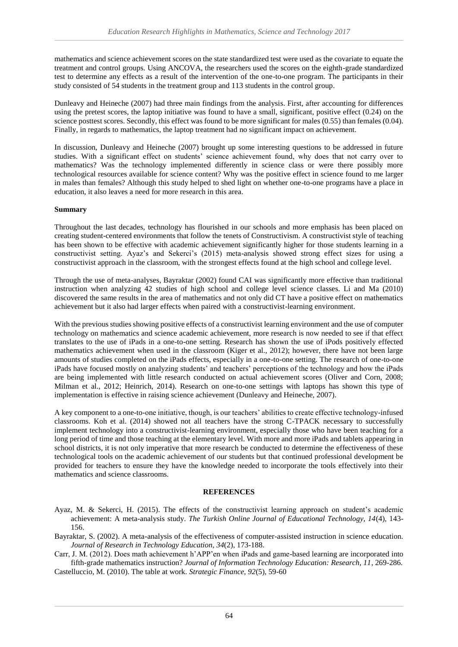mathematics and science achievement scores on the state standardized test were used as the covariate to equate the treatment and control groups. Using ANCOVA, the researchers used the scores on the eighth-grade standardized test to determine any effects as a result of the intervention of the one-to-one program. The participants in their study consisted of 54 students in the treatment group and 113 students in the control group.

Dunleavy and Heineche (2007) had three main findings from the analysis. First, after accounting for differences using the pretest scores, the laptop initiative was found to have a small, significant, positive effect (0.24) on the science posttest scores. Secondly, this effect was found to be more significant for males (0.55) than females (0.04). Finally, in regards to mathematics, the laptop treatment had no significant impact on achievement.

In discussion, Dunleavy and Heineche (2007) brought up some interesting questions to be addressed in future studies. With a significant effect on students' science achievement found, why does that not carry over to mathematics? Was the technology implemented differently in science class or were there possibly more technological resources available for science content? Why was the positive effect in science found to me larger in males than females? Although this study helped to shed light on whether one-to-one programs have a place in education, it also leaves a need for more research in this area.

## **Summary**

Throughout the last decades, technology has flourished in our schools and more emphasis has been placed on creating student-centered environments that follow the tenets of Constructivism. A constructivist style of teaching has been shown to be effective with academic achievement significantly higher for those students learning in a constructivist setting. Ayaz's and Sekerci's (2015) meta-analysis showed strong effect sizes for using a constructivist approach in the classroom, with the strongest effects found at the high school and college level.

Through the use of meta-analyses, Bayraktar (2002) found CAI was significantly more effective than traditional instruction when analyzing 42 studies of high school and college level science classes. Li and Ma (2010) discovered the same results in the area of mathematics and not only did CT have a positive effect on mathematics achievement but it also had larger effects when paired with a constructivist-learning environment.

With the previous studies showing positive effects of a constructivist learning environment and the use of computer technology on mathematics and science academic achievement, more research is now needed to see if that effect translates to the use of iPads in a one-to-one setting. Research has shown the use of iPods positively effected mathematics achievement when used in the classroom (Kiger et al., 2012); however, there have not been large amounts of studies completed on the iPads effects, especially in a one-to-one setting. The research of one-to-one iPads have focused mostly on analyzing students' and teachers' perceptions of the technology and how the iPads are being implemented with little research conducted on actual achievement scores (Oliver and Corn, 2008; Milman et al., 2012; Heinrich, 2014). Research on one-to-one settings with laptops has shown this type of implementation is effective in raising science achievement (Dunleavy and Heineche, 2007).

A key component to a one-to-one initiative, though, is our teachers' abilities to create effective technology-infused classrooms. Koh et al. (2014) showed not all teachers have the strong C-TPACK necessary to successfully implement technology into a constructivist-learning environment, especially those who have been teaching for a long period of time and those teaching at the elementary level. With more and more iPads and tablets appearing in school districts, it is not only imperative that more research be conducted to determine the effectiveness of these technological tools on the academic achievement of our students but that continued professional development be provided for teachers to ensure they have the knowledge needed to incorporate the tools effectively into their mathematics and science classrooms.

#### **REFERENCES**

- Ayaz, M. & Sekerci, H. (2015). The effects of the constructivist learning approach on student's academic achievement: A meta-analysis study. *The Turkish Online Journal of Educational Technology, 14*(4), 143- 156.
- Bayraktar, S. (2002). A meta-analysis of the effectiveness of computer-assisted instruction in science education. *Journal of Research in Technology Education*, *34*(2), 173-188.

Carr, J. M. (2012). Does math achievement h'APP'en when iPads and game-based learning are incorporated into fifth-grade mathematics instruction? *Journal of Information Technology Education: Research, 11*, 269-286. Castelluccio, M. (2010). The table at work. *Strategic Finance, 92*(5), 59-60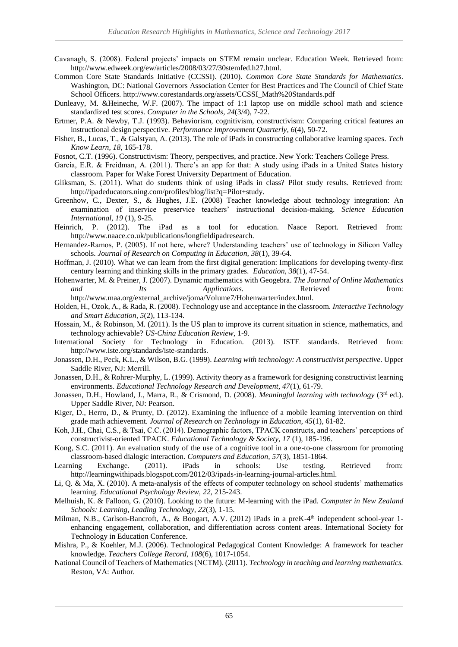- Cavanagh, S. (2008). Federal projects' impacts on STEM remain unclear. Education Week. Retrieved from: http://www.edweek.org/ew/articles/2008/03/27/30stemfed.h27.html.
- Common Core State Standards Initiative (CCSSI). (2010). *Common Core State Standards for Mathematics*. Washington, DC: National Governors Association Center for Best Practices and The Council of Chief State School Officers. http://www.corestandards.org/assets/CCSSI\_Math%20Standards.pdf
- Dunleavy, M. &Heineche, W.F. (2007). The impact of 1:1 laptop use on middle school math and science standardized test scores. *Computer in the Schools, 24*(3/4), 7-22.
- Ertmer, P.A. & Newby, T.J. (1993). Behaviorism, cognitivism, constructivism: Comparing critical features an instructional design perspective. *Performance Improvement Quarterly, 6*(4), 50-72.
- Fisher, B., Lucas, T., & Galstyan, A. (2013). The role of iPads in constructing collaborative learning spaces. *Tech Know Learn, 18*, 165-178.
- Fosnot, C.T. (1996). Constructivism: Theory, perspectives, and practice. New York: Teachers College Press.
- Garcia, E.R. & Freidman, A. (2011). There's an app for that: A study using iPads in a United States history classroom. Paper for Wake Forest University Department of Education.
- Gliksman, S. (2011). What do students think of using iPads in class? Pilot study results. Retrieved from: http://ipadeducators.ning.com/profiles/blog/list?q=Pilot+study.
- Greenhow, C., Dexter, S., & Hughes, J.E. (2008) Teacher knowledge about technology integration: An examination of inservice preservice teachers' instructional decision-making. *Science Education International, 19* (1), 9-25.
- Heinrich, P. (2012). The iPad as a tool for education. Naace Report. Retrieved from: http://www.naace.co.uk/publications/longfieldipadresearch.
- Hernandez-Ramos, P. (2005). If not here, where? Understanding teachers' use of technology in Silicon Valley schools. *Journal of Research on Computing in Education, 38*(1), 39-64.
- Hoffman, J. (2010). What we can learn from the first digital generation: Implications for developing twenty-first century learning and thinking skills in the primary grades. *Education, 38*(1), 47-54.
- Hohenwarter, M. & Preiner, J. (2007). Dynamic mathematics with Geogebra. *The Journal of Online Mathematics and Its Applications.* Retrieved from: http://www.maa.org/external\_archive/joma/Volume7/Hohenwarter/index.html.

Holden, H., Ozok, A., & Rada, R. (2008). Technology use and acceptance in the classroom. *Interactive Technology* 

- *and Smart Education, 5*(2), 113-134. Hossain, M., & Robinson, M. (2011). Is the US plan to improve its current situation in science, mathematics, and technology achievable? *US-China Education Review*, 1-9.
- International Society for Technology in Education. (2013). ISTE standards. Retrieved from: http://www.iste.org/standards/iste-standards.
- Jonassen, D.H., Peck, K.L., & Wilson, B.G. (1999). *Learning with technology: A constructivist perspective*. Upper Saddle River, NJ: Merrill.
- Jonassen, D.H., & Rohrer-Murphy, L. (1999). Activity theory as a framework for designing constructivist learning environments. *Educational Technology Research and Development, 47*(1), 61-79.
- Jonassen, D.H., Howland, J., Marra, R., & Crismond, D. (2008). *Meaningful learning with technology* (3rd ed.). Upper Saddle River, NJ: Pearson.
- Kiger, D., Herro, D., & Prunty, D. (2012). Examining the influence of a mobile learning intervention on third grade math achievement. *Journal of Research on Technology in Education, 45*(1), 61-82.
- Koh, J.H., Chai, C.S., & Tsai, C.C. (2014). Demographic factors, TPACK constructs, and teachers' perceptions of constructivist-oriented TPACK. *Educational Technology & Society, 17* (1), 185-196.
- Kong, S.C. (2011). An evaluation study of the use of a cognitive tool in a one-to-one classroom for promoting classroom-based dialogic interaction. *Computers and Education, 57*(3), 1851-1864.
- Learning Exchange. (2011). iPads in schools: Use testing. Retrieved from: http://learningwithipads.blogspot.com/2012/03/ipads-in-learning-journal-articles.html.
- Li, Q. & Ma, X. (2010). A meta-analysis of the effects of computer technology on school students' mathematics learning. *Educational Psychology Review, 22,* 215-243.
- Melhuish, K. & Falloon, G. (2010). Looking to the future: M-learning with the iPad. *Computer in New Zealand Schools: Learning, Leading Technology, 22*(3), 1-15.
- Milman, N.B., Carlson-Bancroft, A., & Boogart, A.V. (2012) iPads in a preK-4<sup>th</sup> independent school-year 1enhancing engagement, collaboration, and differentiation across content areas. International Society for Technology in Education Conference.
- Mishra, P., & Koehler, M.J. (2006). Technological Pedagogical Content Knowledge: A framework for teacher knowledge. *Teachers College Record, 108*(6), 1017-1054.
- National Council of Teachers of Mathematics (NCTM). (2011). *Technology in teaching and learning mathematics.* Reston, VA: Author.